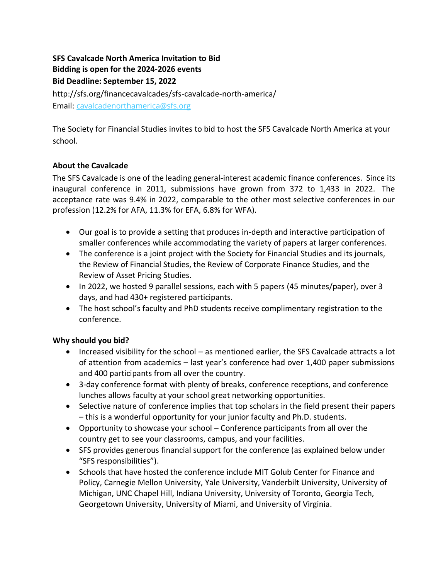# **SFS Cavalcade North America Invitation to Bid Bidding is open for the 2024-2026 events Bid Deadline: September 15, 2022** http://sfs.org/financecavalcades/sfs-cavalcade-north-america/ Email: [cavalcadenorthamerica@sfs.org](mailto:cavalcadenorthamerica@sfs.org)

The Society for Financial Studies invites to bid to host the SFS Cavalcade North America at your school.

### **About the Cavalcade**

The SFS Cavalcade is one of the leading general-interest academic finance conferences. Since its inaugural conference in 2011, submissions have grown from 372 to 1,433 in 2022. The acceptance rate was 9.4% in 2022, comparable to the other most selective conferences in our profession (12.2% for AFA, 11.3% for EFA, 6.8% for WFA).

- Our goal is to provide a setting that produces in-depth and interactive participation of smaller conferences while accommodating the variety of papers at larger conferences.
- The conference is a joint project with the Society for Financial Studies and its journals, the Review of Financial Studies, the Review of Corporate Finance Studies, and the Review of Asset Pricing Studies.
- In 2022, we hosted 9 parallel sessions, each with 5 papers (45 minutes/paper), over 3 days, and had 430+ registered participants.
- The host school's faculty and PhD students receive complimentary registration to the conference.

## **Why should you bid?**

- Increased visibility for the school as mentioned earlier, the SFS Cavalcade attracts a lot of attention from academics – last year's conference had over 1,400 paper submissions and 400 participants from all over the country.
- 3-day conference format with plenty of breaks, conference receptions, and conference lunches allows faculty at your school great networking opportunities.
- Selective nature of conference implies that top scholars in the field present their papers – this is a wonderful opportunity for your junior faculty and Ph.D. students.
- Opportunity to showcase your school Conference participants from all over the country get to see your classrooms, campus, and your facilities.
- SFS provides generous financial support for the conference (as explained below under "SFS responsibilities").
- Schools that have hosted the conference include MIT Golub Center for Finance and Policy, Carnegie Mellon University, Yale University, Vanderbilt University, University of Michigan, UNC Chapel Hill, Indiana University, University of Toronto, Georgia Tech, Georgetown University, University of Miami, and University of Virginia.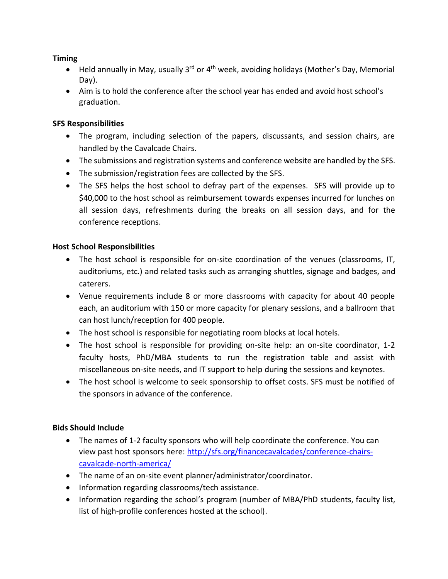### **Timing**

- Held annually in May, usually 3<sup>rd</sup> or 4<sup>th</sup> week, avoiding holidays (Mother's Day, Memorial Day).
- Aim is to hold the conference after the school year has ended and avoid host school's graduation.

#### **SFS Responsibilities**

- The program, including selection of the papers, discussants, and session chairs, are handled by the Cavalcade Chairs.
- The submissions and registration systems and conference website are handled by the SFS.
- The submission/registration fees are collected by the SFS.
- The SFS helps the host school to defray part of the expenses. SFS will provide up to \$40,000 to the host school as reimbursement towards expenses incurred for lunches on all session days, refreshments during the breaks on all session days, and for the conference receptions.

#### **Host School Responsibilities**

- The host school is responsible for on-site coordination of the venues (classrooms, IT, auditoriums, etc.) and related tasks such as arranging shuttles, signage and badges, and caterers.
- Venue requirements include 8 or more classrooms with capacity for about 40 people each, an auditorium with 150 or more capacity for plenary sessions, and a ballroom that can host lunch/reception for 400 people.
- The host school is responsible for negotiating room blocks at local hotels.
- The host school is responsible for providing on-site help: an on-site coordinator, 1-2 faculty hosts, PhD/MBA students to run the registration table and assist with miscellaneous on-site needs, and IT support to help during the sessions and keynotes.
- The host school is welcome to seek sponsorship to offset costs. SFS must be notified of the sponsors in advance of the conference.

### **Bids Should Include**

- The names of 1-2 faculty sponsors who will help coordinate the conference. You can view past host sponsors here: [http://sfs.org/financecavalcades/conference-chairs](http://sfs.org/financecavalcades/conference-chairs-cavalcade-north-america/)[cavalcade-north-america/](http://sfs.org/financecavalcades/conference-chairs-cavalcade-north-america/)
- The name of an on-site event planner/administrator/coordinator.
- Information regarding classrooms/tech assistance.
- Information regarding the school's program (number of MBA/PhD students, faculty list, list of high-profile conferences hosted at the school).